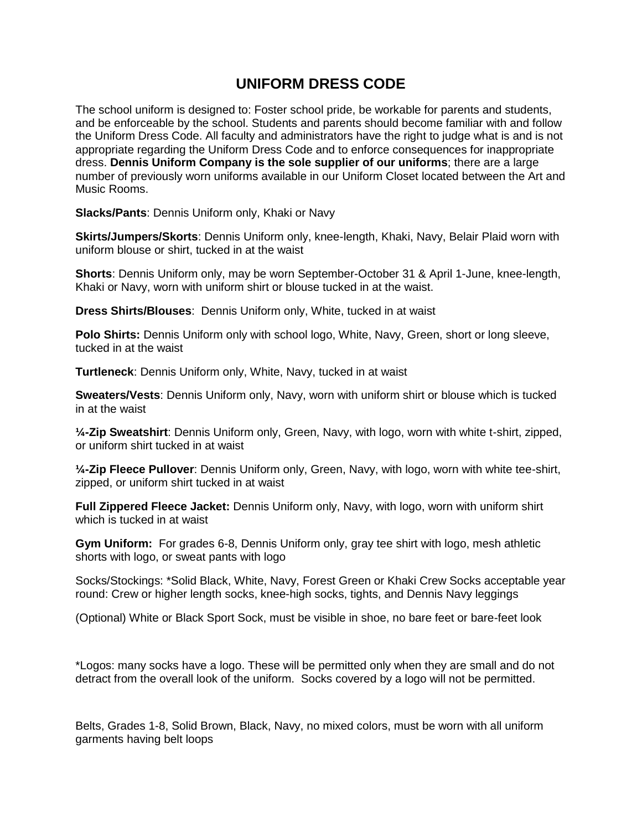## **UNIFORM DRESS CODE**

The school uniform is designed to: Foster school pride, be workable for parents and students, and be enforceable by the school. Students and parents should become familiar with and follow the Uniform Dress Code. All faculty and administrators have the right to judge what is and is not appropriate regarding the Uniform Dress Code and to enforce consequences for inappropriate dress. **Dennis Uniform Company is the sole supplier of our uniforms**; there are a large number of previously worn uniforms available in our Uniform Closet located between the Art and Music Rooms.

**Slacks/Pants**: Dennis Uniform only, Khaki or Navy

**Skirts/Jumpers/Skorts**: Dennis Uniform only, knee-length, Khaki, Navy, Belair Plaid worn with uniform blouse or shirt, tucked in at the waist

**Shorts**: Dennis Uniform only, may be worn September-October 31 & April 1-June, knee-length, Khaki or Navy, worn with uniform shirt or blouse tucked in at the waist.

**Dress Shirts/Blouses**: Dennis Uniform only, White, tucked in at waist

**Polo Shirts:** Dennis Uniform only with school logo, White, Navy, Green, short or long sleeve, tucked in at the waist

**Turtleneck**: Dennis Uniform only, White, Navy, tucked in at waist

**Sweaters/Vests**: Dennis Uniform only, Navy, worn with uniform shirt or blouse which is tucked in at the waist

**¼-Zip Sweatshirt**: Dennis Uniform only, Green, Navy, with logo, worn with white t-shirt, zipped, or uniform shirt tucked in at waist

**¼-Zip Fleece Pullover**: Dennis Uniform only, Green, Navy, with logo, worn with white tee-shirt, zipped, or uniform shirt tucked in at waist

**Full Zippered Fleece Jacket:** Dennis Uniform only, Navy, with logo, worn with uniform shirt which is tucked in at waist

**Gym Uniform:** For grades 6-8, Dennis Uniform only, gray tee shirt with logo, mesh athletic shorts with logo, or sweat pants with logo

Socks/Stockings: \*Solid Black, White, Navy, Forest Green or Khaki Crew Socks acceptable year round: Crew or higher length socks, knee-high socks, tights, and Dennis Navy leggings

(Optional) White or Black Sport Sock, must be visible in shoe, no bare feet or bare-feet look

\*Logos: many socks have a logo. These will be permitted only when they are small and do not detract from the overall look of the uniform. Socks covered by a logo will not be permitted.

Belts, Grades 1-8, Solid Brown, Black, Navy, no mixed colors, must be worn with all uniform garments having belt loops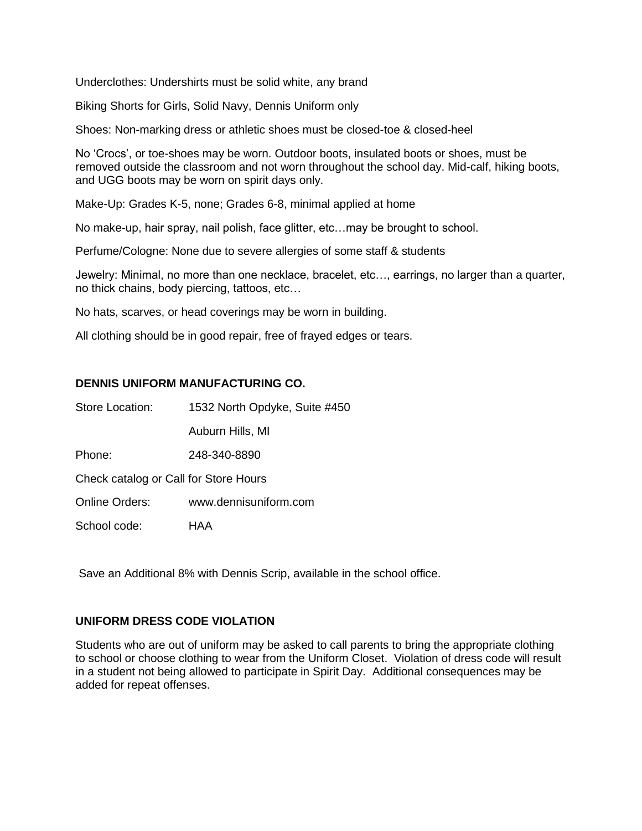Underclothes: Undershirts must be solid white, any brand

Biking Shorts for Girls, Solid Navy, Dennis Uniform only

Shoes: Non-marking dress or athletic shoes must be closed-toe & closed-heel

No 'Crocs', or toe-shoes may be worn. Outdoor boots, insulated boots or shoes, must be removed outside the classroom and not worn throughout the school day. Mid-calf, hiking boots, and UGG boots may be worn on spirit days only.

Make-Up: Grades K-5, none; Grades 6-8, minimal applied at home

No make-up, hair spray, nail polish, face glitter, etc…may be brought to school.

Perfume/Cologne: None due to severe allergies of some staff & students

Jewelry: Minimal, no more than one necklace, bracelet, etc…, earrings, no larger than a quarter, no thick chains, body piercing, tattoos, etc…

No hats, scarves, or head coverings may be worn in building.

All clothing should be in good repair, free of frayed edges or tears.

## **DENNIS UNIFORM MANUFACTURING CO.**

| <b>Store Location:</b><br>1532 North Opdyke, Suite #450 |  |
|---------------------------------------------------------|--|
|---------------------------------------------------------|--|

Auburn Hills, MI

Phone: 248-340-8890

Check catalog or Call for Store Hours

Online Orders: www.dennisuniform.com

School code: HAA

Save an Additional 8% with Dennis Scrip, available in the school office.

## **UNIFORM DRESS CODE VIOLATION**

Students who are out of uniform may be asked to call parents to bring the appropriate clothing to school or choose clothing to wear from the Uniform Closet. Violation of dress code will result in a student not being allowed to participate in Spirit Day. Additional consequences may be added for repeat offenses.